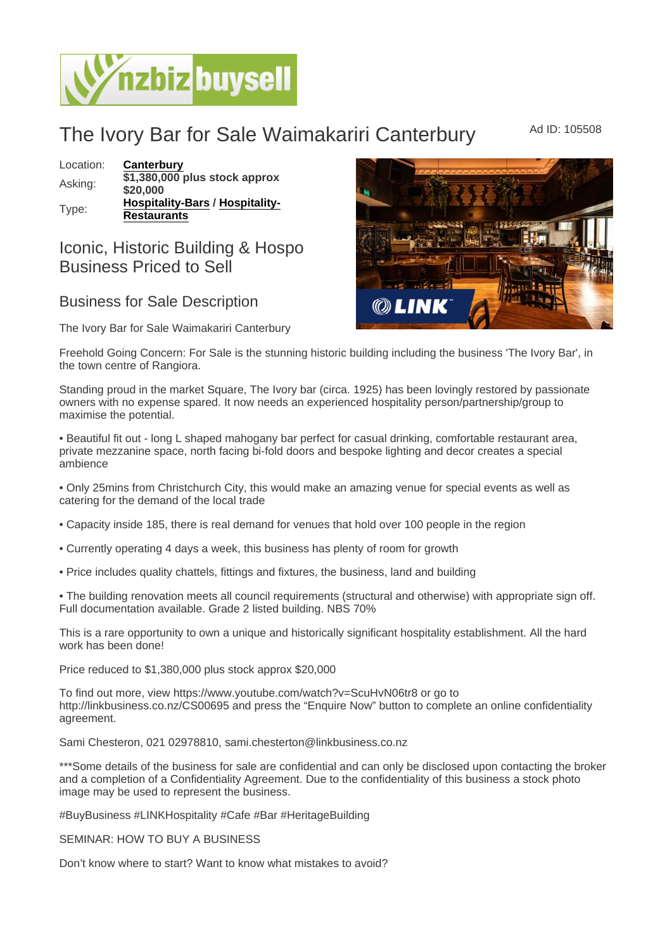## The Ivory Bar for Sale Waimakariri Canterbury Ad ID: 105508

Location: [Canterbury](https://www.nzbizbuysell.co.nz/businesses-for-sale/location/Canterbury) Asking: \$1,380,000 plus stock approx \$20,000 Type: [Hospitality-Bars](https://www.nzbizbuysell.co.nz/businesses-for-sale/Bars/New-Zealand) / [Hospitality-](https://www.nzbizbuysell.co.nz/businesses-for-sale/Restaurants/New-Zealand)[Restaurants](https://www.nzbizbuysell.co.nz/businesses-for-sale/Restaurants/New-Zealand)

## Iconic, Historic Building & Hospo Business Priced to Sell

## Business for Sale Description

The Ivory Bar for Sale Waimakariri Canterbury

Freehold Going Concern: For Sale is the stunning historic building including the business 'The Ivory Bar', in the town centre of Rangiora.

Standing proud in the market Square, The Ivory bar (circa. 1925) has been lovingly restored by passionate owners with no expense spared. It now needs an experienced hospitality person/partnership/group to maximise the potential.

• Beautiful fit out - long L shaped mahogany bar perfect for casual drinking, comfortable restaurant area, private mezzanine space, north facing bi-fold doors and bespoke lighting and decor creates a special ambience

• Only 25mins from Christchurch City, this would make an amazing venue for special events as well as catering for the demand of the local trade

- Capacity inside 185, there is real demand for venues that hold over 100 people in the region
- Currently operating 4 days a week, this business has plenty of room for growth
- Price includes quality chattels, fittings and fixtures, the business, land and building

• The building renovation meets all council requirements (structural and otherwise) with appropriate sign off. Full documentation available. Grade 2 listed building. NBS 70%

This is a rare opportunity to own a unique and historically significant hospitality establishment. All the hard work has been done!

Price reduced to \$1,380,000 plus stock approx \$20,000

To find out more, view https://www.youtube.com/watch?v=ScuHvN06tr8 or go to http://linkbusiness.co.nz/CS00695 and press the "Enquire Now" button to complete an online confidentiality agreement.

Sami Chesteron, 021 02978810, sami.chesterton@linkbusiness.co.nz

\*\*\*Some details of the business for sale are confidential and can only be disclosed upon contacting the broker and a completion of a Confidentiality Agreement. Due to the confidentiality of this business a stock photo image may be used to represent the business.

#BuyBusiness #LINKHospitality #Cafe #Bar #HeritageBuilding

SEMINAR: HOW TO BUY A BUSINESS

Don't know where to start? Want to know what mistakes to avoid?